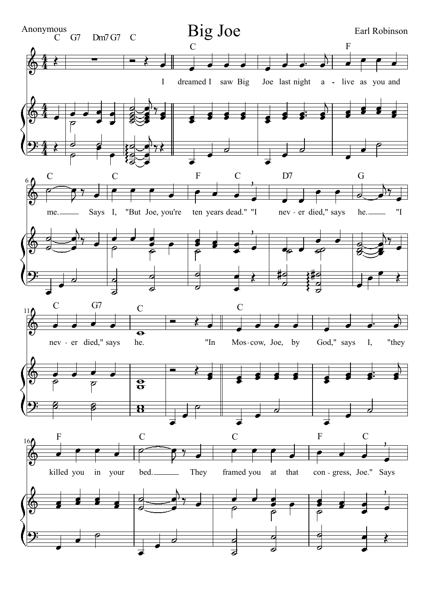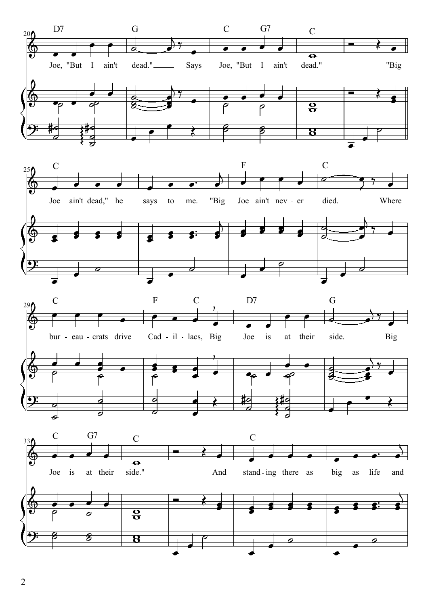